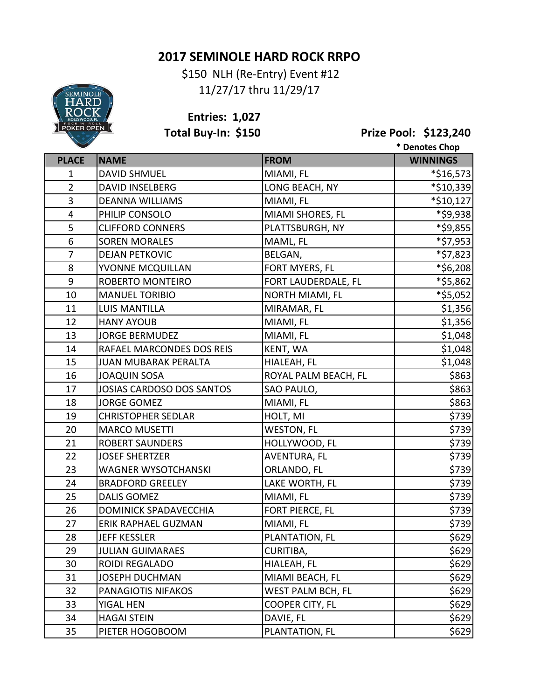## **2017 SEMINOLE HARD ROCK RRPO**

 \$150 NLH (Re-Entry) Event #12 11/27/17 thru 11/29/17



**Entries: 1,027**

**Total Buy-In: \$150 Prize Pool: \$123,240**

|                |                              |                      | * Denotes Chop  |
|----------------|------------------------------|----------------------|-----------------|
| <b>PLACE</b>   | <b>NAME</b>                  | <b>FROM</b>          | <b>WINNINGS</b> |
| $\mathbf{1}$   | <b>DAVID SHMUEL</b>          | MIAMI, FL            | *\$16,573       |
| $\overline{2}$ | <b>DAVID INSELBERG</b>       | LONG BEACH, NY       | *\$10,339       |
| 3              | <b>DEANNA WILLIAMS</b>       | MIAMI, FL            | *\$10,127       |
| 4              | PHILIP CONSOLO               | MIAMI SHORES, FL     | *\$9,938        |
| 5              | <b>CLIFFORD CONNERS</b>      | PLATTSBURGH, NY      | *\$9,855        |
| 6              | <b>SOREN MORALES</b>         | MAML, FL             | *\$7,953        |
| $\overline{7}$ | <b>DEJAN PETKOVIC</b>        | BELGAN,              | *\$7,823        |
| 8              | YVONNE MCQUILLAN             | FORT MYERS, FL       | *\$6,208        |
| 9              | ROBERTO MONTEIRO             | FORT LAUDERDALE, FL  | *\$5,862        |
| 10             | <b>MANUEL TORIBIO</b>        | NORTH MIAMI, FL      | *\$5,052        |
| 11             | <b>LUIS MANTILLA</b>         | MIRAMAR, FL          | \$1,356         |
| 12             | <b>HANY AYOUB</b>            | MIAMI, FL            | \$1,356         |
| 13             | <b>JORGE BERMUDEZ</b>        | MIAMI, FL            | \$1,048         |
| 14             | RAFAEL MARCONDES DOS REIS    | KENT, WA             | \$1,048         |
| 15             | <b>JUAN MUBARAK PERALTA</b>  | HIALEAH, FL          | \$1,048         |
| 16             | <b>JOAQUIN SOSA</b>          | ROYAL PALM BEACH, FL | \$863           |
| 17             | JOSIAS CARDOSO DOS SANTOS    | SAO PAULO,           | \$863           |
| 18             | <b>JORGE GOMEZ</b>           | MIAMI, FL            | \$863           |
| 19             | <b>CHRISTOPHER SEDLAR</b>    | HOLT, MI             | \$739           |
| 20             | <b>MARCO MUSETTI</b>         | <b>WESTON, FL</b>    | \$739           |
| 21             | <b>ROBERT SAUNDERS</b>       | HOLLYWOOD, FL        | \$739           |
| 22             | <b>JOSEF SHERTZER</b>        | AVENTURA, FL         | \$739           |
| 23             | WAGNER WYSOTCHANSKI          | ORLANDO, FL          | \$739           |
| 24             | <b>BRADFORD GREELEY</b>      | LAKE WORTH, FL       | \$739           |
| 25             | <b>DALIS GOMEZ</b>           | MIAMI, FL            | \$739           |
| 26             | <b>DOMINICK SPADAVECCHIA</b> | FORT PIERCE, FL      | \$739           |
| 27             | <b>ERIK RAPHAEL GUZMAN</b>   | MIAMI, FL            | \$739           |
| 28             | <b>JEFF KESSLER</b>          | PLANTATION, FL       | \$629           |
| 29             | <b>JULIAN GUIMARAES</b>      | CURITIBA,            | \$629           |
| 30             | ROIDI REGALADO               | HIALEAH, FL          | \$629           |
| 31             | <b>JOSEPH DUCHMAN</b>        | MIAMI BEACH, FL      | \$629           |
| 32             | PANAGIOTIS NIFAKOS           | WEST PALM BCH, FL    | \$629           |
| 33             | YIGAL HEN                    | COOPER CITY, FL      | \$629           |
| 34             | <b>HAGAI STEIN</b>           | DAVIE, FL            | \$629           |
| 35             | PIETER HOGOBOOM              | PLANTATION, FL       | \$629           |